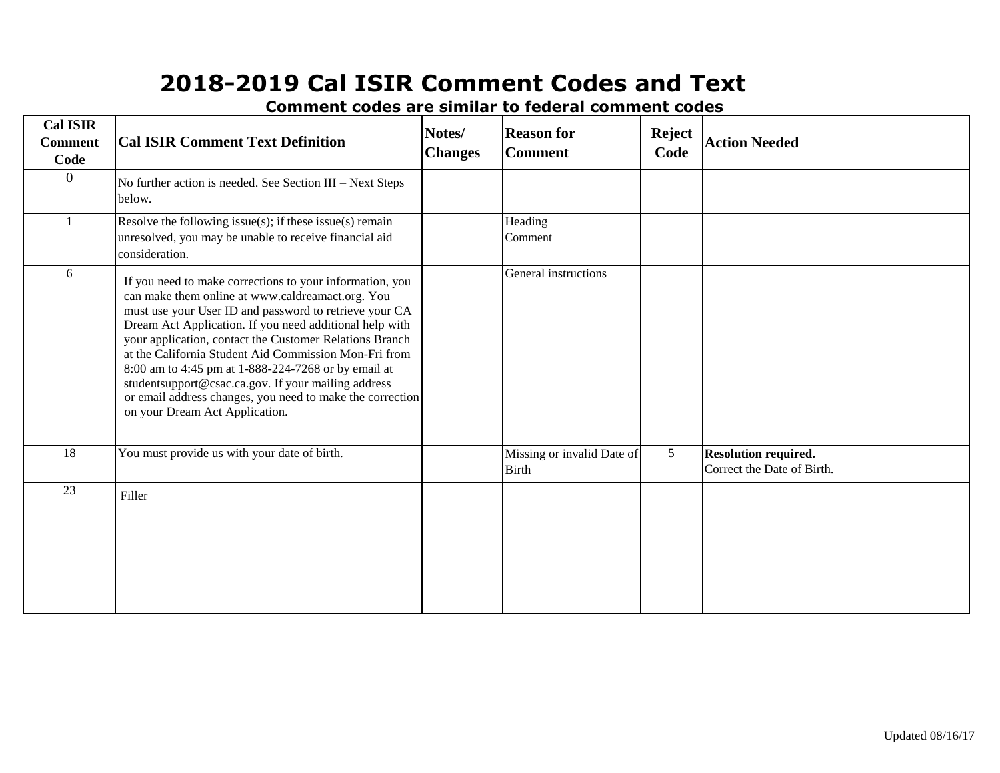| <b>Cal ISIR</b><br><b>Comment</b><br>Code | <b>Cal ISIR Comment Text Definition</b>                                                                                                                                                                                                                                                                                                                                                                                                                                                                                                                            | Notes/<br><b>Changes</b> | <b>Reason for</b><br><b>Comment</b>        | <b>Reject</b><br>Code | <b>Action Needed</b>                                      |
|-------------------------------------------|--------------------------------------------------------------------------------------------------------------------------------------------------------------------------------------------------------------------------------------------------------------------------------------------------------------------------------------------------------------------------------------------------------------------------------------------------------------------------------------------------------------------------------------------------------------------|--------------------------|--------------------------------------------|-----------------------|-----------------------------------------------------------|
| $\overline{0}$                            | No further action is needed. See Section III - Next Steps<br>below.                                                                                                                                                                                                                                                                                                                                                                                                                                                                                                |                          |                                            |                       |                                                           |
|                                           | Resolve the following issue(s); if these issue(s) remain<br>unresolved, you may be unable to receive financial aid<br>consideration.                                                                                                                                                                                                                                                                                                                                                                                                                               |                          | Heading<br>Comment                         |                       |                                                           |
| 6                                         | If you need to make corrections to your information, you<br>can make them online at www.caldreamact.org. You<br>must use your User ID and password to retrieve your CA<br>Dream Act Application. If you need additional help with<br>your application, contact the Customer Relations Branch<br>at the California Student Aid Commission Mon-Fri from<br>8:00 am to 4:45 pm at 1-888-224-7268 or by email at<br>studentsupport@csac.ca.gov. If your mailing address<br>or email address changes, you need to make the correction<br>on your Dream Act Application. |                          | General instructions                       |                       |                                                           |
| 18                                        | You must provide us with your date of birth.                                                                                                                                                                                                                                                                                                                                                                                                                                                                                                                       |                          | Missing or invalid Date of<br><b>Birth</b> | 5                     | <b>Resolution required.</b><br>Correct the Date of Birth. |
| 23                                        | Filler                                                                                                                                                                                                                                                                                                                                                                                                                                                                                                                                                             |                          |                                            |                       |                                                           |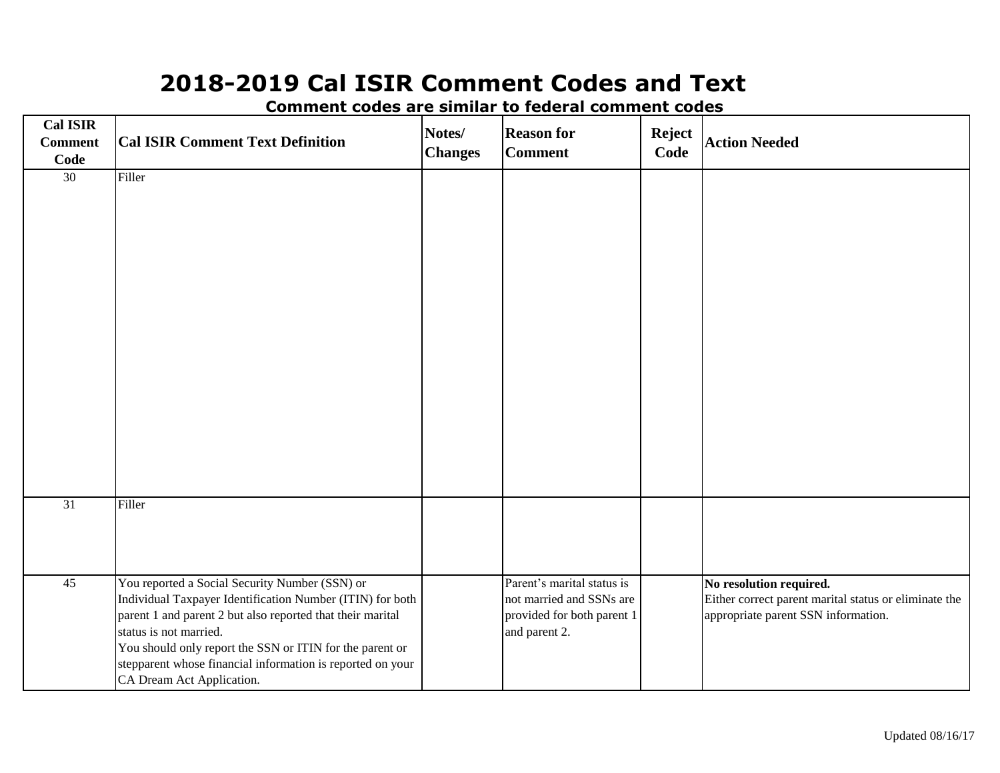**Cal ISIR Comment Code Cal ISIR Comment Text Definition Notes/ Changes Reason for Comment Reject Code Action Needed** 30 Filler 31 Filler 45 You reported a Social Security Number (SSN) or Individual Taxpayer Identification Number (ITIN) for both parent 1 and parent 2 but also reported that their marital status is not married. You should only report the SSN or ITIN for the parent or stepparent whose financial information is reported on your CA Dream Act Application. Parent's marital status is not married and SSNs are provided for both parent 1 and parent 2. **No resolution required.** Either correct parent marital status or eliminate the appropriate parent SSN information.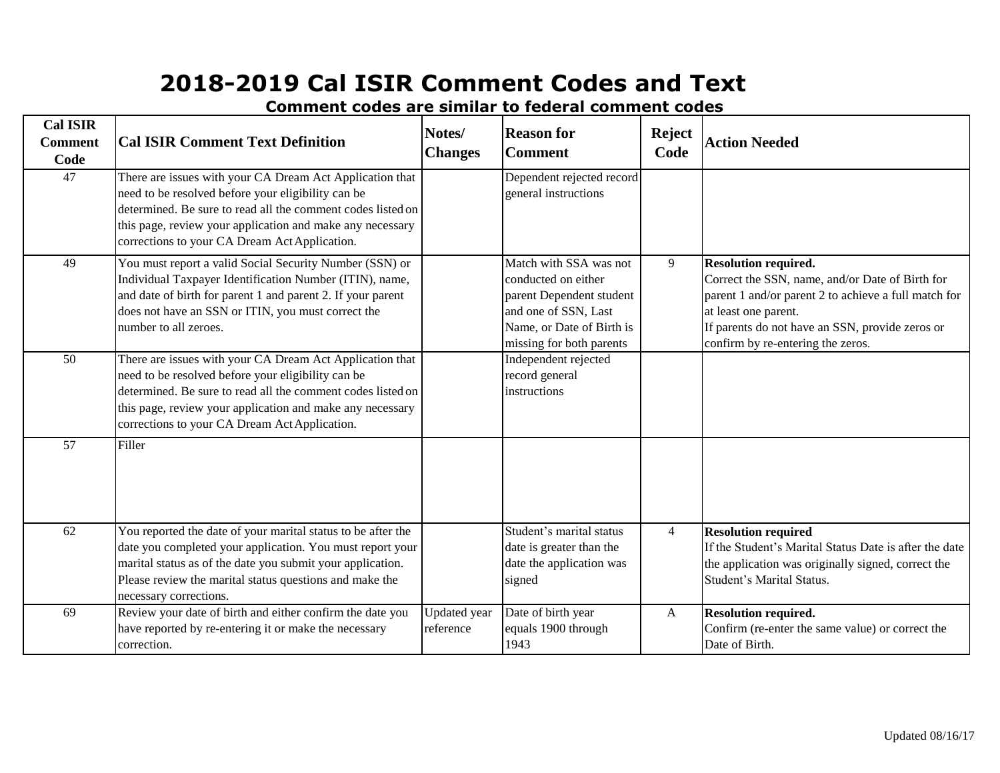| <b>Cal ISIR</b><br><b>Comment</b><br>Code | <b>Cal ISIR Comment Text Definition</b>                                                                                                                                                                                                                                                     | Notes/<br><b>Changes</b>         | <b>Reason for</b><br><b>Comment</b>                                                                                                                        | <b>Reject</b><br>Code | <b>Action Needed</b>                                                                                                                                                                                                                                   |
|-------------------------------------------|---------------------------------------------------------------------------------------------------------------------------------------------------------------------------------------------------------------------------------------------------------------------------------------------|----------------------------------|------------------------------------------------------------------------------------------------------------------------------------------------------------|-----------------------|--------------------------------------------------------------------------------------------------------------------------------------------------------------------------------------------------------------------------------------------------------|
| 47                                        | There are issues with your CA Dream Act Application that<br>need to be resolved before your eligibility can be<br>determined. Be sure to read all the comment codes listed on<br>this page, review your application and make any necessary<br>corrections to your CA Dream Act Application. |                                  | Dependent rejected record<br>general instructions                                                                                                          |                       |                                                                                                                                                                                                                                                        |
| 49                                        | You must report a valid Social Security Number (SSN) or<br>Individual Taxpayer Identification Number (ITIN), name,<br>and date of birth for parent 1 and parent 2. If your parent<br>does not have an SSN or ITIN, you must correct the<br>number to all zeroes.                            |                                  | Match with SSA was not<br>conducted on either<br>parent Dependent student<br>and one of SSN, Last<br>Name, or Date of Birth is<br>missing for both parents | 9                     | <b>Resolution required.</b><br>Correct the SSN, name, and/or Date of Birth for<br>parent 1 and/or parent 2 to achieve a full match for<br>at least one parent.<br>If parents do not have an SSN, provide zeros or<br>confirm by re-entering the zeros. |
| 50                                        | There are issues with your CA Dream Act Application that<br>need to be resolved before your eligibility can be<br>determined. Be sure to read all the comment codes listed on<br>this page, review your application and make any necessary<br>corrections to your CA Dream Act Application. |                                  | Independent rejected<br>record general<br>instructions                                                                                                     |                       |                                                                                                                                                                                                                                                        |
| 57                                        | Filler                                                                                                                                                                                                                                                                                      |                                  |                                                                                                                                                            |                       |                                                                                                                                                                                                                                                        |
| 62                                        | You reported the date of your marital status to be after the<br>date you completed your application. You must report your<br>marital status as of the date you submit your application.<br>Please review the marital status questions and make the<br>necessary corrections.                |                                  | Student's marital status<br>date is greater than the<br>date the application was<br>signed                                                                 | $\overline{4}$        | <b>Resolution required</b><br>If the Student's Marital Status Date is after the date<br>the application was originally signed, correct the<br><b>Student's Marital Status.</b>                                                                         |
| 69                                        | Review your date of birth and either confirm the date you<br>have reported by re-entering it or make the necessary<br>correction.                                                                                                                                                           | <b>Updated</b> year<br>reference | Date of birth year<br>equals 1900 through<br>1943                                                                                                          | A                     | <b>Resolution required.</b><br>Confirm (re-enter the same value) or correct the<br>Date of Birth.                                                                                                                                                      |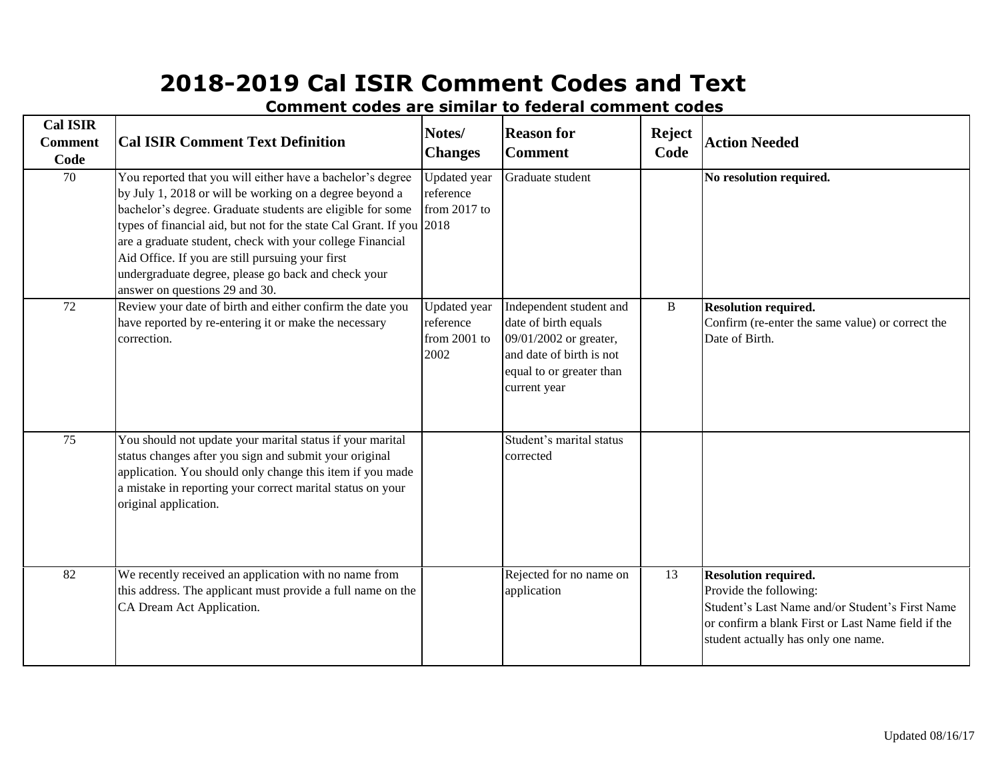| <b>Cal ISIR</b><br><b>Comment</b><br>Code | <b>Cal ISIR Comment Text Definition</b>                                                                                                                                                                                                                                                                                                                                                                                                                               | Notes/<br><b>Changes</b>                                 | <b>Reason for</b><br><b>Comment</b>                                                                                                               | <b>Reject</b><br>Code | <b>Action Needed</b>                                                                                                                                                                                  |
|-------------------------------------------|-----------------------------------------------------------------------------------------------------------------------------------------------------------------------------------------------------------------------------------------------------------------------------------------------------------------------------------------------------------------------------------------------------------------------------------------------------------------------|----------------------------------------------------------|---------------------------------------------------------------------------------------------------------------------------------------------------|-----------------------|-------------------------------------------------------------------------------------------------------------------------------------------------------------------------------------------------------|
| $\overline{70}$                           | You reported that you will either have a bachelor's degree<br>by July 1, 2018 or will be working on a degree beyond a<br>bachelor's degree. Graduate students are eligible for some<br>types of financial aid, but not for the state Cal Grant. If you 2018<br>are a graduate student, check with your college Financial<br>Aid Office. If you are still pursuing your first<br>undergraduate degree, please go back and check your<br>answer on questions 29 and 30. | <b>Updated</b> year<br>reference<br>from 2017 to         | Graduate student                                                                                                                                  |                       | No resolution required.                                                                                                                                                                               |
| $\overline{72}$                           | Review your date of birth and either confirm the date you<br>have reported by re-entering it or make the necessary<br>correction.                                                                                                                                                                                                                                                                                                                                     | <b>Updated</b> year<br>reference<br>from 2001 to<br>2002 | Independent student and<br>date of birth equals<br>09/01/2002 or greater,<br>and date of birth is not<br>equal to or greater than<br>current year | $\, {\bf B}$          | <b>Resolution required.</b><br>Confirm (re-enter the same value) or correct the<br>Date of Birth.                                                                                                     |
| 75                                        | You should not update your marital status if your marital<br>status changes after you sign and submit your original<br>application. You should only change this item if you made<br>a mistake in reporting your correct marital status on your<br>original application.                                                                                                                                                                                               |                                                          | Student's marital status<br>corrected                                                                                                             |                       |                                                                                                                                                                                                       |
| 82                                        | We recently received an application with no name from<br>this address. The applicant must provide a full name on the<br>CA Dream Act Application.                                                                                                                                                                                                                                                                                                                     |                                                          | Rejected for no name on<br>application                                                                                                            | 13                    | <b>Resolution required.</b><br>Provide the following:<br>Student's Last Name and/or Student's First Name<br>or confirm a blank First or Last Name field if the<br>student actually has only one name. |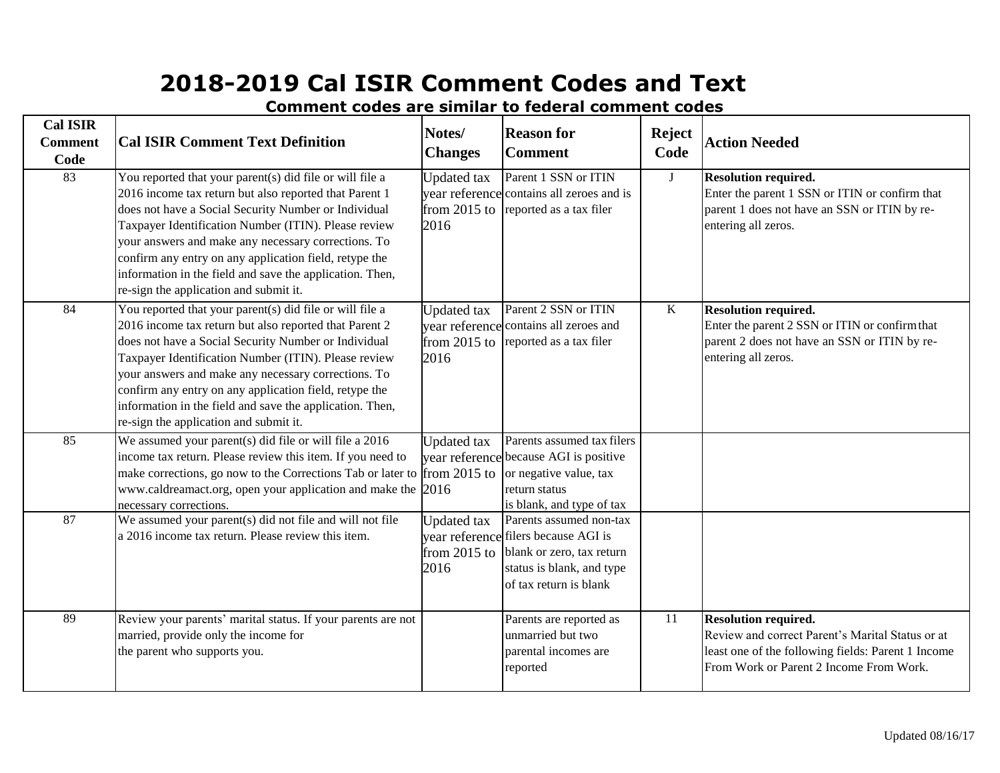| <b>Cal ISIR</b><br><b>Comment</b><br>Code | <b>Cal ISIR Comment Text Definition</b>                                                                                                                                                                                                                                                                                                                                                                                                                   | Notes/<br><b>Changes</b>                     | <b>Reason for</b><br><b>Comment</b>                                                                                                                 | <b>Reject</b><br>Code | <b>Action Needed</b>                                                                                                                                                             |
|-------------------------------------------|-----------------------------------------------------------------------------------------------------------------------------------------------------------------------------------------------------------------------------------------------------------------------------------------------------------------------------------------------------------------------------------------------------------------------------------------------------------|----------------------------------------------|-----------------------------------------------------------------------------------------------------------------------------------------------------|-----------------------|----------------------------------------------------------------------------------------------------------------------------------------------------------------------------------|
| 83                                        | You reported that your parent(s) did file or will file a<br>2016 income tax return but also reported that Parent 1<br>does not have a Social Security Number or Individual<br>Taxpayer Identification Number (ITIN). Please review<br>your answers and make any necessary corrections. To<br>confirm any entry on any application field, retype the<br>information in the field and save the application. Then,<br>re-sign the application and submit it. | <b>Updated</b> tax<br>from 2015 to<br>2016   | Parent 1 SSN or ITIN<br>year reference contains all zeroes and is<br>reported as a tax filer                                                        | $\mathbf{J}$          | <b>Resolution required.</b><br>Enter the parent 1 SSN or ITIN or confirm that<br>parent 1 does not have an SSN or ITIN by re-<br>entering all zeros.                             |
| 84                                        | You reported that your parent(s) did file or will file a<br>2016 income tax return but also reported that Parent 2<br>does not have a Social Security Number or Individual<br>Taxpayer Identification Number (ITIN). Please review<br>your answers and make any necessary corrections. To<br>confirm any entry on any application field, retype the<br>information in the field and save the application. Then,<br>re-sign the application and submit it. | <b>Updated</b> tax<br>2016                   | Parent 2 SSN or ITIN<br>year reference contains all zeroes and<br>from 2015 to reported as a tax filer                                              | K                     | <b>Resolution required.</b><br>Enter the parent 2 SSN or ITIN or confirm that<br>parent 2 does not have an SSN or ITIN by re-<br>entering all zeros.                             |
| 85                                        | We assumed your parent(s) did file or will file a $2016$<br>income tax return. Please review this item. If you need to<br>make corrections, go now to the Corrections Tab or later to from 2015 to or negative value, tax<br>www.caldreamact.org, open your application and make the 2016<br>necessary corrections.                                                                                                                                       | <b>Updated</b> tax                           | Parents assumed tax filers<br>year reference because AGI is positive<br>return status<br>is blank, and type of tax                                  |                       |                                                                                                                                                                                  |
| 87                                        | We assumed your parent(s) did not file and will not file<br>a 2016 income tax return. Please review this item.                                                                                                                                                                                                                                                                                                                                            | <b>Updated</b> tax<br>from $2015$ to<br>2016 | Parents assumed non-tax<br>year reference filers because AGI is<br>blank or zero, tax return<br>status is blank, and type<br>of tax return is blank |                       |                                                                                                                                                                                  |
| 89                                        | Review your parents' marital status. If your parents are not<br>married, provide only the income for<br>the parent who supports you.                                                                                                                                                                                                                                                                                                                      |                                              | Parents are reported as<br>unmarried but two<br>parental incomes are<br>reported                                                                    | 11                    | <b>Resolution required.</b><br>Review and correct Parent's Marital Status or at<br>least one of the following fields: Parent 1 Income<br>From Work or Parent 2 Income From Work. |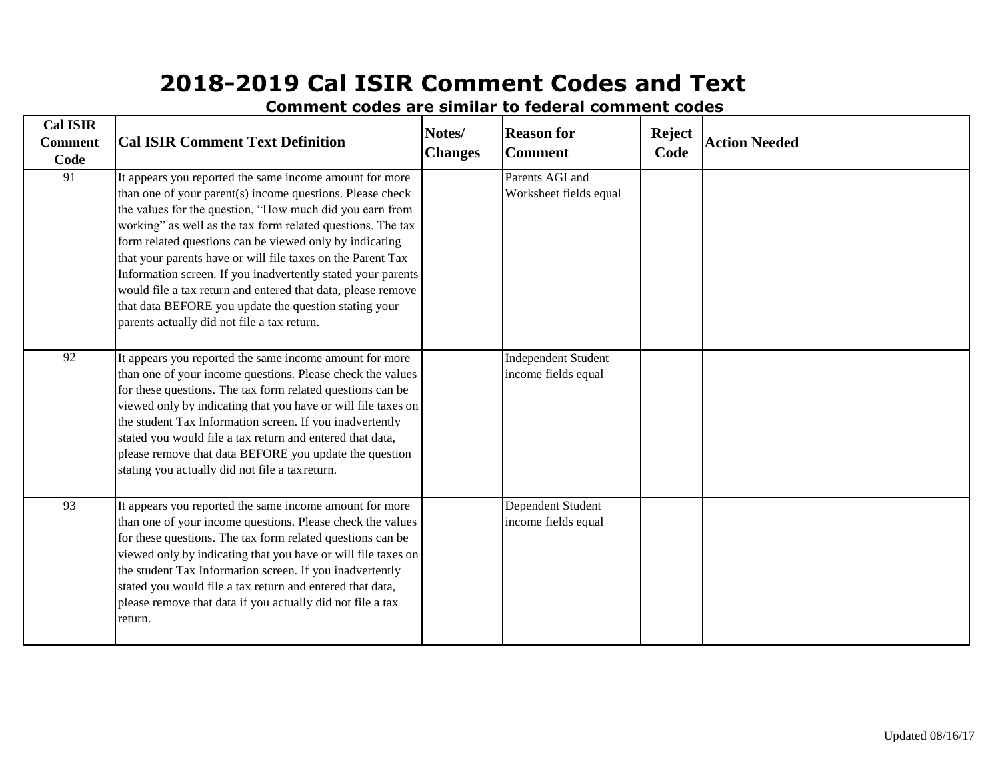| <b>Cal ISIR</b><br><b>Comment</b><br>Code | <b>Cal ISIR Comment Text Definition</b>                                                                                                                                                                                                                                                                                                                                                                                                                                                                                                                                                                           | Notes/<br><b>Changes</b> | <b>Reason for</b><br><b>Comment</b>               | <b>Reject</b><br>Code | <b>Action Needed</b> |
|-------------------------------------------|-------------------------------------------------------------------------------------------------------------------------------------------------------------------------------------------------------------------------------------------------------------------------------------------------------------------------------------------------------------------------------------------------------------------------------------------------------------------------------------------------------------------------------------------------------------------------------------------------------------------|--------------------------|---------------------------------------------------|-----------------------|----------------------|
| 91                                        | It appears you reported the same income amount for more<br>than one of your parent(s) income questions. Please check<br>the values for the question, "How much did you earn from<br>working" as well as the tax form related questions. The tax<br>form related questions can be viewed only by indicating<br>that your parents have or will file taxes on the Parent Tax<br>Information screen. If you inadvertently stated your parents<br>would file a tax return and entered that data, please remove<br>that data BEFORE you update the question stating your<br>parents actually did not file a tax return. |                          | Parents AGI and<br>Worksheet fields equal         |                       |                      |
| 92                                        | It appears you reported the same income amount for more<br>than one of your income questions. Please check the values<br>for these questions. The tax form related questions can be<br>viewed only by indicating that you have or will file taxes on<br>the student Tax Information screen. If you inadvertently<br>stated you would file a tax return and entered that data,<br>please remove that data BEFORE you update the question<br>stating you actually did not file a tax return.                                                                                                                        |                          | <b>Independent Student</b><br>income fields equal |                       |                      |
| 93                                        | It appears you reported the same income amount for more<br>than one of your income questions. Please check the values<br>for these questions. The tax form related questions can be<br>viewed only by indicating that you have or will file taxes on<br>the student Tax Information screen. If you inadvertently<br>stated you would file a tax return and entered that data,<br>please remove that data if you actually did not file a tax<br>return.                                                                                                                                                            |                          | Dependent Student<br>income fields equal          |                       |                      |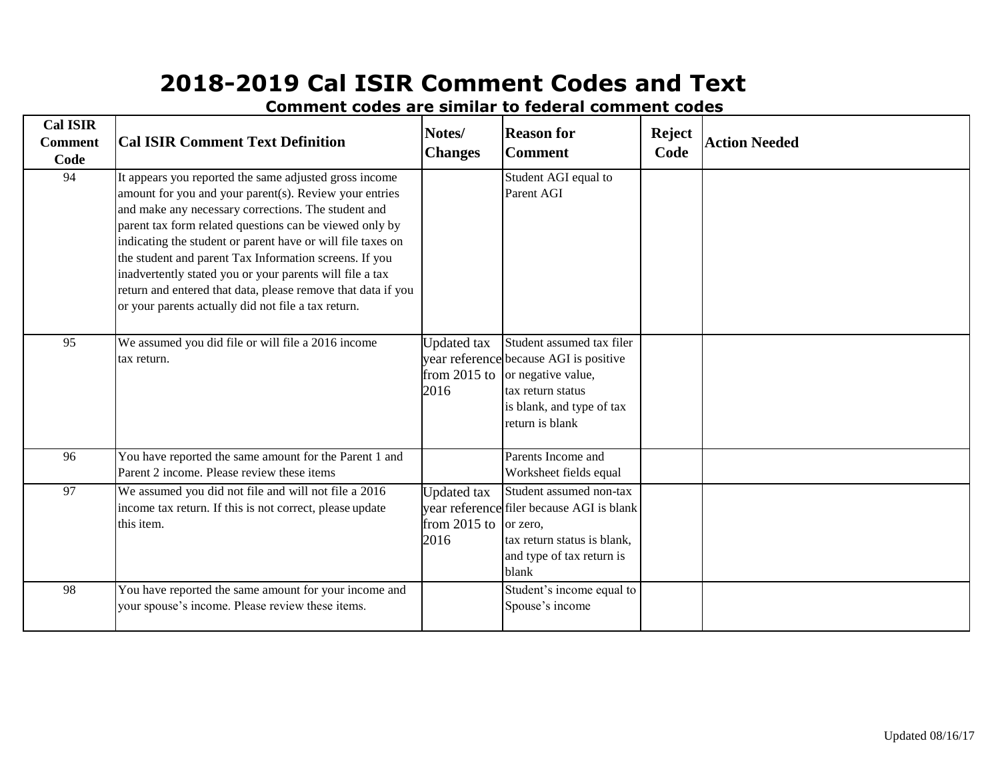| <b>Cal ISIR</b><br><b>Comment</b><br>Code | <b>Cal ISIR Comment Text Definition</b>                                                                                                                                                                                                                                                                                                                                                                                                                                                                                                        | Notes/<br><b>Changes</b>                     | <b>Reason for</b><br><b>Comment</b>                                                                                                                            | <b>Reject</b><br>Code | <b>Action Needed</b> |
|-------------------------------------------|------------------------------------------------------------------------------------------------------------------------------------------------------------------------------------------------------------------------------------------------------------------------------------------------------------------------------------------------------------------------------------------------------------------------------------------------------------------------------------------------------------------------------------------------|----------------------------------------------|----------------------------------------------------------------------------------------------------------------------------------------------------------------|-----------------------|----------------------|
| 94                                        | It appears you reported the same adjusted gross income<br>amount for you and your parent(s). Review your entries<br>and make any necessary corrections. The student and<br>parent tax form related questions can be viewed only by<br>indicating the student or parent have or will file taxes on<br>the student and parent Tax Information screens. If you<br>inadvertently stated you or your parents will file a tax<br>return and entered that data, please remove that data if you<br>or your parents actually did not file a tax return. |                                              | Student AGI equal to<br>Parent AGI                                                                                                                             |                       |                      |
| 95                                        | We assumed you did file or will file a 2016 income<br>tax return.                                                                                                                                                                                                                                                                                                                                                                                                                                                                              | <b>Updated</b> tax<br>from $2015$ to<br>2016 | Student assumed tax filer<br>year reference because AGI is positive<br>or negative value,<br>tax return status<br>is blank, and type of tax<br>return is blank |                       |                      |
| 96                                        | You have reported the same amount for the Parent 1 and<br>Parent 2 income. Please review these items                                                                                                                                                                                                                                                                                                                                                                                                                                           |                                              | Parents Income and<br>Worksheet fields equal                                                                                                                   |                       |                      |
| 97                                        | We assumed you did not file and will not file a 2016<br>income tax return. If this is not correct, please update<br>this item.                                                                                                                                                                                                                                                                                                                                                                                                                 | <b>Updated</b> tax<br>from $2015$ to<br>2016 | Student assumed non-tax<br>year reference filer because AGI is blank<br>or zero.<br>tax return status is blank,<br>and type of tax return is<br>blank          |                       |                      |
| 98                                        | You have reported the same amount for your income and<br>your spouse's income. Please review these items.                                                                                                                                                                                                                                                                                                                                                                                                                                      |                                              | Student's income equal to<br>Spouse's income                                                                                                                   |                       |                      |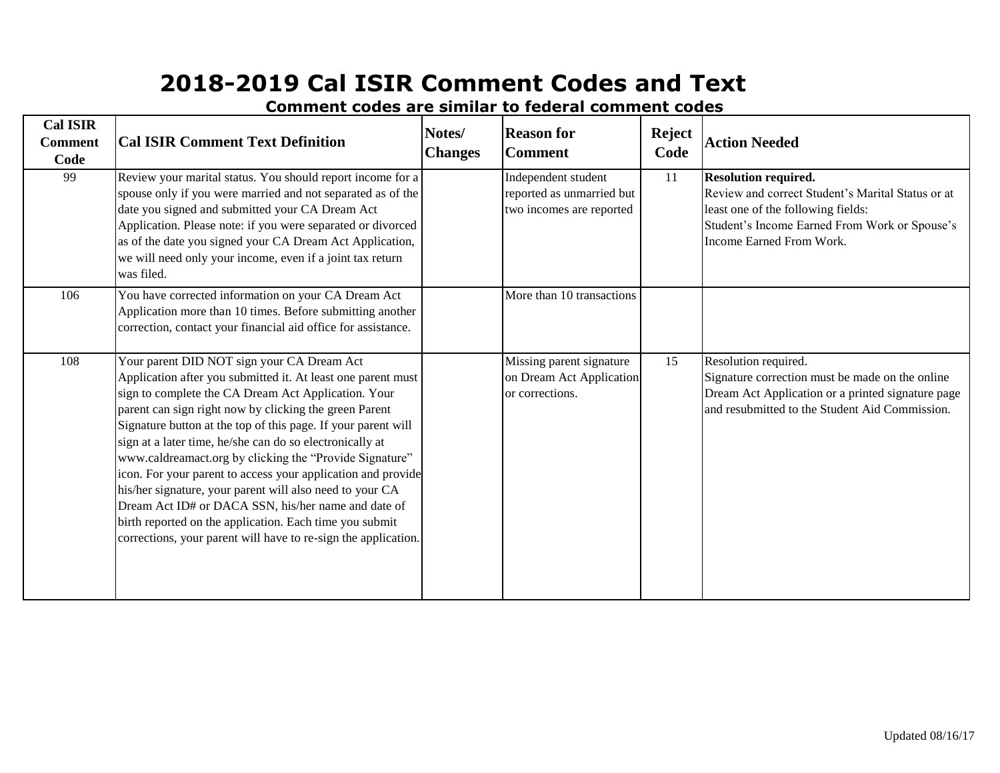**Cal ISIR Comment Code Cal ISIR Comment Text Definition Notes/ Changes Reason for Comment Reject Code Action Needed** 99 Review your marital status. You should report income for a spouse only if you were married and not separated as of the date you signed and submitted your CA Dream Act Application. Please note: if you were separated or divorced as of the date you signed your CA Dream Act Application, we will need only your income, even if a joint tax return was filed. Independent student reported as unmarried but two incomes are reported 11 **Resolution required.** Review and correct Student's Marital Status or at least one of the following fields: Student's Income Earned From Work or Spouse's Income Earned From Work. 106 You have corrected information on your CA Dream Act Application more than 10 times. Before submitting another correction, contact your financial aid office for assistance. More than 10 transactions 108 Your parent DID NOT sign your CA Dream Act Application after you submitted it. At least one parent must sign to complete the CA Dream Act Application. Your parent can sign right now by clicking the green Parent Signature button at the top of this page. If your parent will sign at a later time, he/she can do so electronically at [www.caldreamact.org](http://www.caldreamact.org/) by clicking the "Provide Signature" icon. For your parent to access your application and provide his/her signature, your parent will also need to your CA Dream Act ID# or DACA SSN, his/her name and date of birth reported on the application. Each time you submit corrections, your parent will have to re-sign the application. Missing parent signature on Dream Act Application or corrections. 15 Resolution required. Signature correction must be made on the online Dream Act Application or a printed signature page and resubmitted to the Student Aid Commission.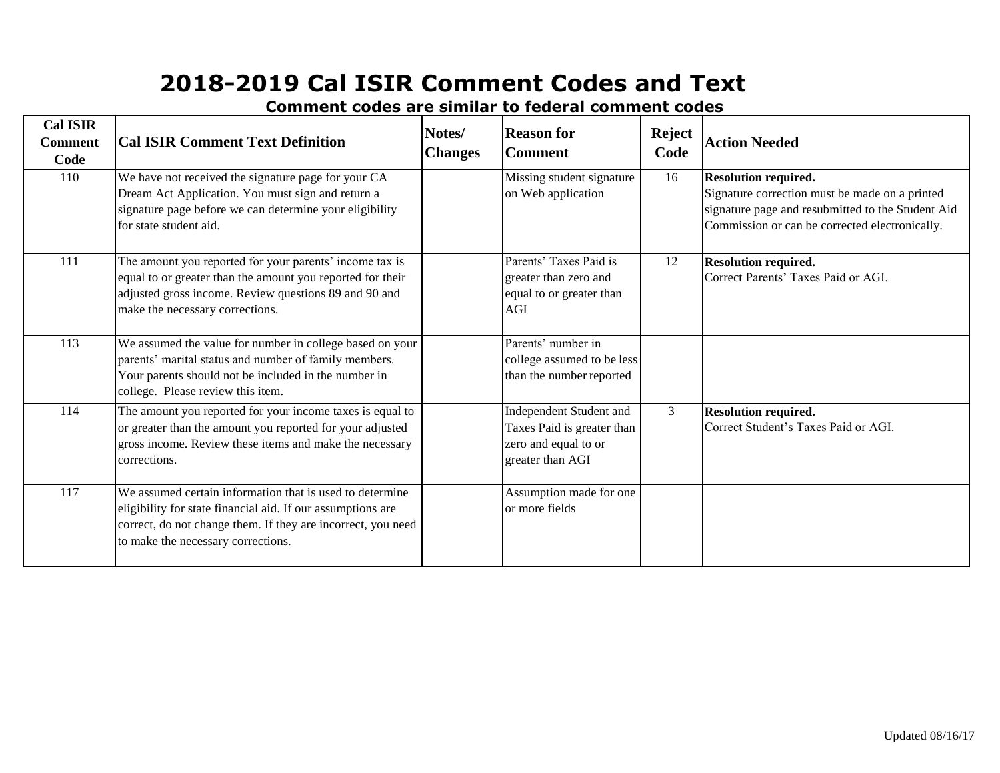| <b>Cal ISIR</b><br><b>Comment</b><br>Code | <b>Cal ISIR Comment Text Definition</b>                                                                                                                                                                                       | Notes/<br><b>Changes</b> | <b>Reason for</b><br><b>Comment</b>                                                               | <b>Reject</b><br>Code | <b>Action Needed</b>                                                                                                                                                                 |
|-------------------------------------------|-------------------------------------------------------------------------------------------------------------------------------------------------------------------------------------------------------------------------------|--------------------------|---------------------------------------------------------------------------------------------------|-----------------------|--------------------------------------------------------------------------------------------------------------------------------------------------------------------------------------|
| 110                                       | We have not received the signature page for your CA<br>Dream Act Application. You must sign and return a<br>signature page before we can determine your eligibility<br>for state student aid.                                 |                          | Missing student signature<br>on Web application                                                   | 16                    | <b>Resolution required.</b><br>Signature correction must be made on a printed<br>signature page and resubmitted to the Student Aid<br>Commission or can be corrected electronically. |
| 111                                       | The amount you reported for your parents' income tax is<br>equal to or greater than the amount you reported for their<br>adjusted gross income. Review questions 89 and 90 and<br>make the necessary corrections.             |                          | Parents' Taxes Paid is<br>greater than zero and<br>equal to or greater than<br><b>AGI</b>         | 12                    | <b>Resolution required.</b><br>Correct Parents' Taxes Paid or AGI.                                                                                                                   |
| 113                                       | We assumed the value for number in college based on your<br>parents' marital status and number of family members.<br>Your parents should not be included in the number in<br>college. Please review this item.                |                          | Parents' number in<br>college assumed to be less<br>than the number reported                      |                       |                                                                                                                                                                                      |
| 114                                       | The amount you reported for your income taxes is equal to<br>or greater than the amount you reported for your adjusted<br>gross income. Review these items and make the necessary<br>corrections.                             |                          | Independent Student and<br>Taxes Paid is greater than<br>zero and equal to or<br>greater than AGI | 3                     | <b>Resolution required.</b><br>Correct Student's Taxes Paid or AGI.                                                                                                                  |
| 117                                       | We assumed certain information that is used to determine<br>eligibility for state financial aid. If our assumptions are<br>correct, do not change them. If they are incorrect, you need<br>to make the necessary corrections. |                          | Assumption made for one<br>or more fields                                                         |                       |                                                                                                                                                                                      |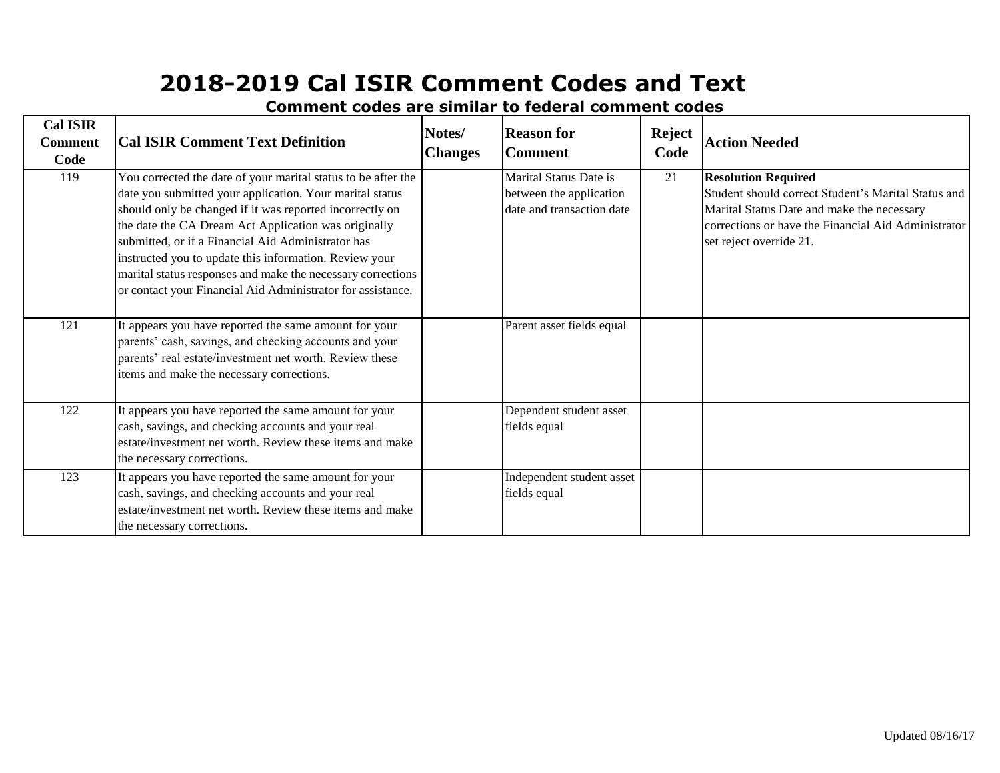| <b>Cal ISIR</b><br><b>Comment</b><br>Code | <b>Cal ISIR Comment Text Definition</b>                                                                                                                                                                                                                                                                                                                                                                                                                                                     | Notes/<br><b>Changes</b> | <b>Reason for</b><br><b>Comment</b>                                            | <b>Reject</b><br>Code | <b>Action Needed</b>                                                                                                                                                                                              |
|-------------------------------------------|---------------------------------------------------------------------------------------------------------------------------------------------------------------------------------------------------------------------------------------------------------------------------------------------------------------------------------------------------------------------------------------------------------------------------------------------------------------------------------------------|--------------------------|--------------------------------------------------------------------------------|-----------------------|-------------------------------------------------------------------------------------------------------------------------------------------------------------------------------------------------------------------|
| 119                                       | You corrected the date of your marital status to be after the<br>date you submitted your application. Your marital status<br>should only be changed if it was reported incorrectly on<br>the date the CA Dream Act Application was originally<br>submitted, or if a Financial Aid Administrator has<br>instructed you to update this information. Review your<br>marital status responses and make the necessary corrections<br>or contact your Financial Aid Administrator for assistance. |                          | Marital Status Date is<br>between the application<br>date and transaction date | 21                    | <b>Resolution Required</b><br>Student should correct Student's Marital Status and<br>Marital Status Date and make the necessary<br>corrections or have the Financial Aid Administrator<br>set reject override 21. |
| 121                                       | It appears you have reported the same amount for your<br>parents' cash, savings, and checking accounts and your<br>parents' real estate/investment net worth. Review these<br>items and make the necessary corrections.                                                                                                                                                                                                                                                                     |                          | Parent asset fields equal                                                      |                       |                                                                                                                                                                                                                   |
| 122                                       | It appears you have reported the same amount for your<br>cash, savings, and checking accounts and your real<br>estate/investment net worth. Review these items and make<br>the necessary corrections.                                                                                                                                                                                                                                                                                       |                          | Dependent student asset<br>fields equal                                        |                       |                                                                                                                                                                                                                   |
| 123                                       | It appears you have reported the same amount for your<br>cash, savings, and checking accounts and your real<br>estate/investment net worth. Review these items and make<br>the necessary corrections.                                                                                                                                                                                                                                                                                       |                          | Independent student asset<br>fields equal                                      |                       |                                                                                                                                                                                                                   |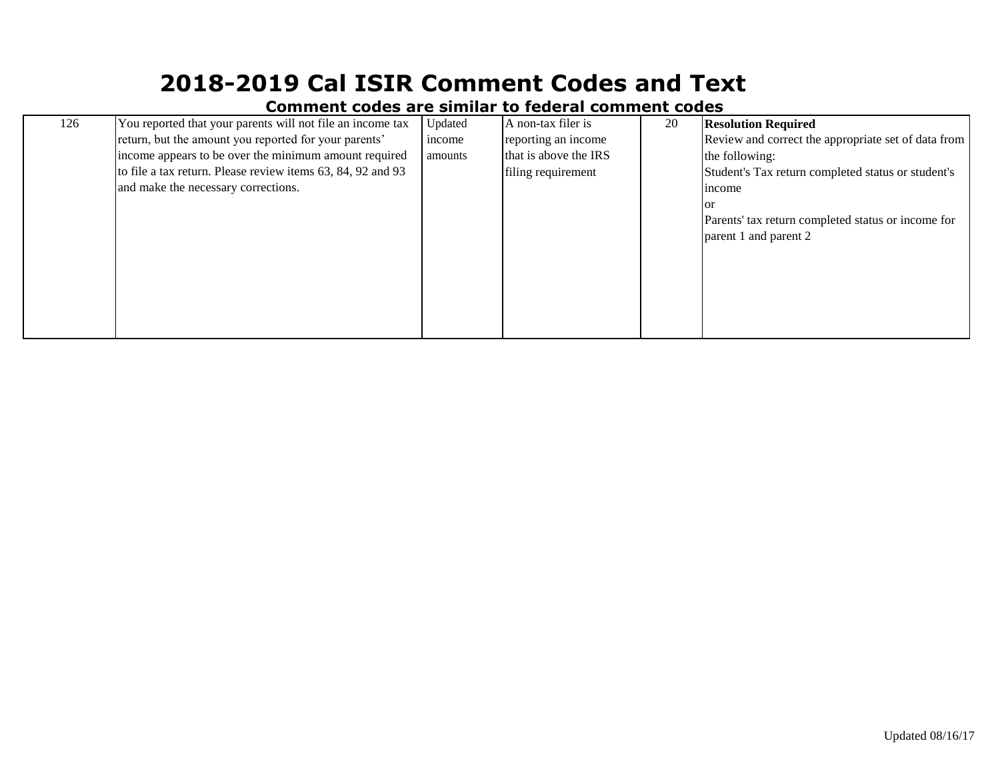| 126 | You reported that your parents will not file an income tax  | Updated | A non-tax filer is    | 20 | <b>Resolution Required</b>                          |
|-----|-------------------------------------------------------------|---------|-----------------------|----|-----------------------------------------------------|
|     | return, but the amount you reported for your parents'       | income  | reporting an income   |    | Review and correct the appropriate set of data from |
|     | income appears to be over the minimum amount required       | amounts | that is above the IRS |    | the following:                                      |
|     | to file a tax return. Please review items 63, 84, 92 and 93 |         | filing requirement    |    | Student's Tax return completed status or student's  |
|     | and make the necessary corrections.                         |         |                       |    | <i>n</i> come                                       |
|     |                                                             |         |                       |    | <b>or</b>                                           |
|     |                                                             |         |                       |    | Parents' tax return completed status or income for  |
|     |                                                             |         |                       |    | parent 1 and parent 2                               |
|     |                                                             |         |                       |    |                                                     |
|     |                                                             |         |                       |    |                                                     |
|     |                                                             |         |                       |    |                                                     |
|     |                                                             |         |                       |    |                                                     |
|     |                                                             |         |                       |    |                                                     |
|     |                                                             |         |                       |    |                                                     |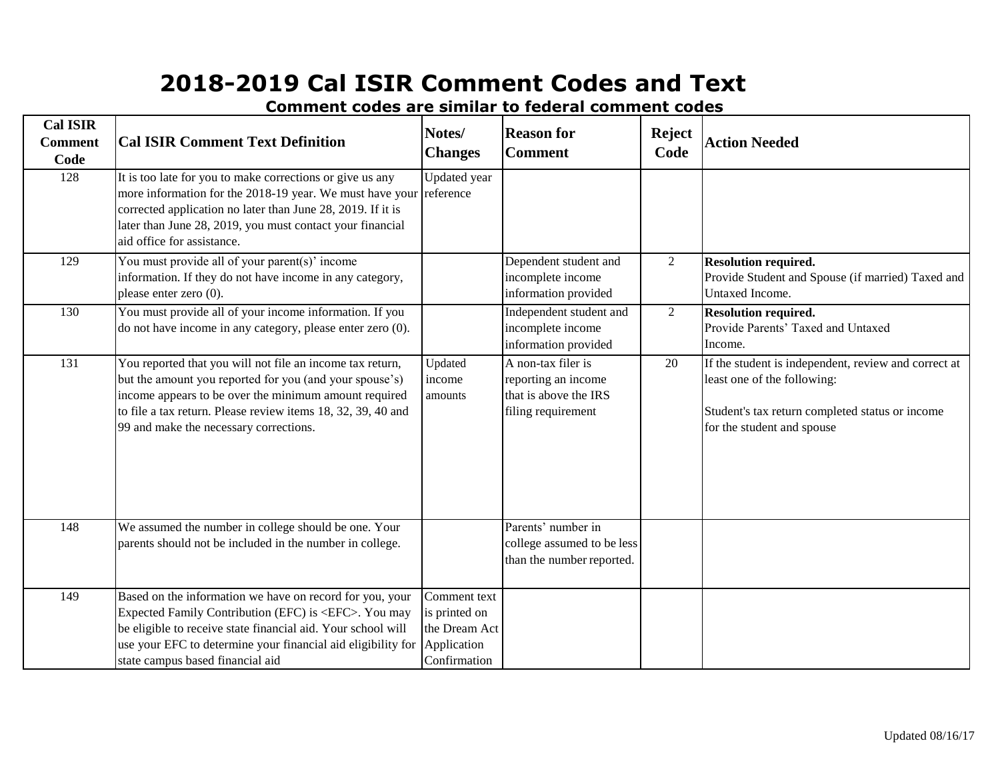**Cal ISIR Comment Code Cal ISIR Comment Text Definition Notes/ Changes Reason for Comment Reject Code Action Needed** 128 It is too late for you to make corrections or give us any more information for the 2018-19 year. We must have your corrected application no later than June 28, 2019. If it is later than June 28, 2019, you must contact your financial aid office for assistance. Updated year reference 129 You must provide all of your parent(s)' income information. If they do not have income in any category, please enter zero (0). Dependent student and incomplete income information provided 2 **Resolution required.** Provide Student and Spouse (if married) Taxed and Untaxed Income. 130 You must provide all of your income information. If you do not have income in any category, please enter zero (0). Independent student and incomplete income information provided 2 **Resolution required.** Provide Parents' Taxed and Untaxed Income. 131 You reported that you will not file an income tax return, but the amount you reported for you (and your spouse's) income appears to be over the minimum amount required to file a tax return. Please review items 18, 32, 39, 40 and 99 and make the necessary corrections. Updated income amounts A non-tax filer is reporting an income that is above the IRS filing requirement 20 If the student is independent, review and correct at least one of the following: Student's tax return completed status or income for the student and spouse 148 We assumed the number in college should be one. Your parents should not be included in the number in college. Parents' number in college assumed to be less than the number reported. 149 Based on the information we have on record for you, your Expected Family Contribution (EFC) is <EFC>. You may be eligible to receive state financial aid. Your school will use your EFC to determine your financial aid eligibility for state campus based financial aid Comment text is printed on the Dream Act Application Confirmation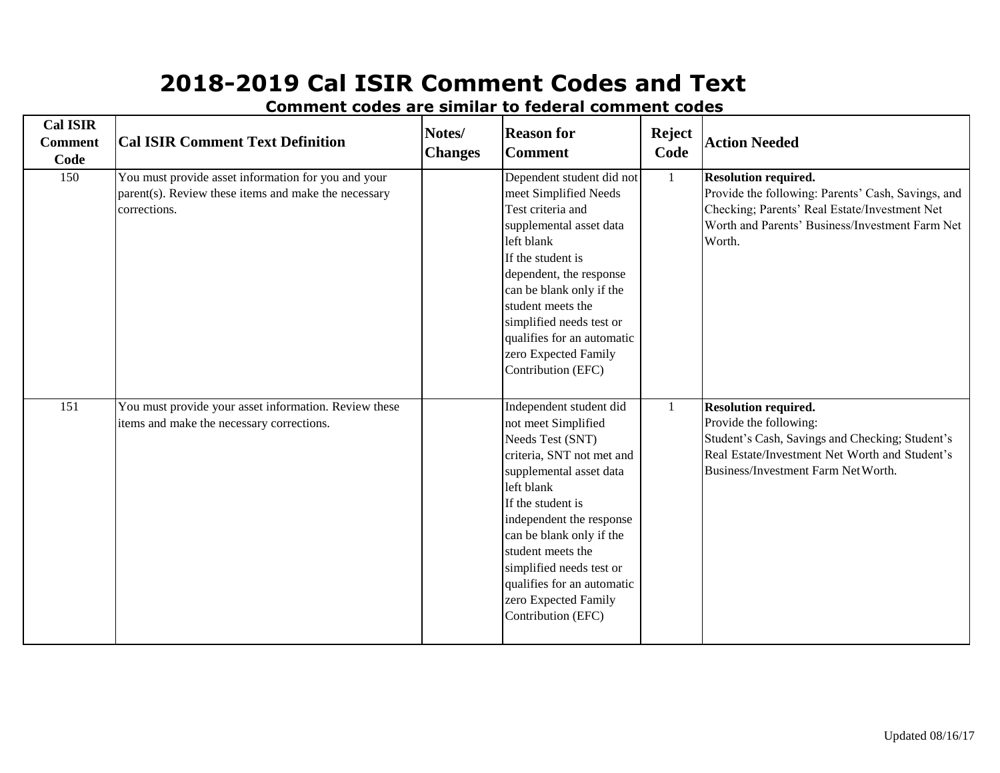| <b>Cal ISIR</b><br><b>Comment</b><br>Code | <b>Cal ISIR Comment Text Definition</b>                                                                                     | Notes/<br><b>Changes</b> | <b>Reason for</b><br><b>Comment</b>                                                                                                                                                                                                                                                                                                                | <b>Reject</b><br>Code | <b>Action Needed</b>                                                                                                                                                                              |
|-------------------------------------------|-----------------------------------------------------------------------------------------------------------------------------|--------------------------|----------------------------------------------------------------------------------------------------------------------------------------------------------------------------------------------------------------------------------------------------------------------------------------------------------------------------------------------------|-----------------------|---------------------------------------------------------------------------------------------------------------------------------------------------------------------------------------------------|
| 150                                       | You must provide asset information for you and your<br>parent(s). Review these items and make the necessary<br>corrections. |                          | Dependent student did not<br>meet Simplified Needs<br>Test criteria and<br>supplemental asset data<br>left blank<br>If the student is<br>dependent, the response<br>can be blank only if the<br>student meets the<br>simplified needs test or<br>qualifies for an automatic<br>zero Expected Family<br>Contribution (EFC)                          | $\mathbf{1}$          | <b>Resolution required.</b><br>Provide the following: Parents' Cash, Savings, and<br>Checking; Parents' Real Estate/Investment Net<br>Worth and Parents' Business/Investment Farm Net<br>Worth.   |
| 151                                       | You must provide your asset information. Review these<br>items and make the necessary corrections.                          |                          | Independent student did<br>not meet Simplified<br>Needs Test (SNT)<br>criteria, SNT not met and<br>supplemental asset data<br>left blank<br>If the student is<br>independent the response<br>can be blank only if the<br>student meets the<br>simplified needs test or<br>qualifies for an automatic<br>zero Expected Family<br>Contribution (EFC) |                       | <b>Resolution required.</b><br>Provide the following:<br>Student's Cash, Savings and Checking; Student's<br>Real Estate/Investment Net Worth and Student's<br>Business/Investment Farm Net Worth. |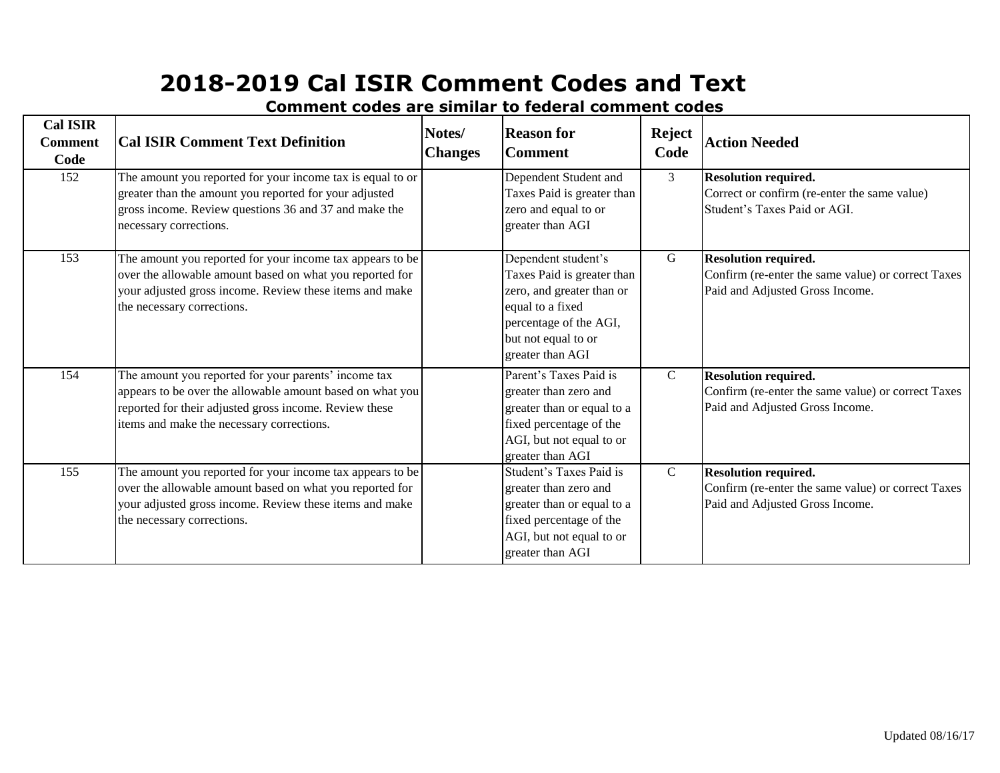| <b>Cal ISIR</b><br><b>Comment</b><br>Code | <b>Cal ISIR Comment Text Definition</b>                                                                                                                                                                                  | Notes/<br><b>Changes</b> | <b>Reason for</b><br><b>Comment</b>                                                                                                                                     | <b>Reject</b><br>Code | <b>Action Needed</b>                                                                                                 |
|-------------------------------------------|--------------------------------------------------------------------------------------------------------------------------------------------------------------------------------------------------------------------------|--------------------------|-------------------------------------------------------------------------------------------------------------------------------------------------------------------------|-----------------------|----------------------------------------------------------------------------------------------------------------------|
| 152                                       | The amount you reported for your income tax is equal to or<br>greater than the amount you reported for your adjusted<br>gross income. Review questions 36 and 37 and make the<br>necessary corrections.                  |                          | Dependent Student and<br>Taxes Paid is greater than<br>zero and equal to or<br>greater than AGI                                                                         | 3                     | <b>Resolution required.</b><br>Correct or confirm (re-enter the same value)<br>Student's Taxes Paid or AGI.          |
| 153                                       | The amount you reported for your income tax appears to be<br>over the allowable amount based on what you reported for<br>your adjusted gross income. Review these items and make<br>the necessary corrections.           |                          | Dependent student's<br>Taxes Paid is greater than<br>zero, and greater than or<br>equal to a fixed<br>percentage of the AGI,<br>but not equal to or<br>greater than AGI | G                     | <b>Resolution required.</b><br>Confirm (re-enter the same value) or correct Taxes<br>Paid and Adjusted Gross Income. |
| 154                                       | The amount you reported for your parents' income tax<br>appears to be over the allowable amount based on what you<br>reported for their adjusted gross income. Review these<br>items and make the necessary corrections. |                          | Parent's Taxes Paid is<br>greater than zero and<br>greater than or equal to a<br>fixed percentage of the<br>AGI, but not equal to or<br>greater than AGI                | $\mathbf{C}$          | <b>Resolution required.</b><br>Confirm (re-enter the same value) or correct Taxes<br>Paid and Adjusted Gross Income. |
| 155                                       | The amount you reported for your income tax appears to be<br>over the allowable amount based on what you reported for<br>your adjusted gross income. Review these items and make<br>the necessary corrections.           |                          | Student's Taxes Paid is<br>greater than zero and<br>greater than or equal to a<br>fixed percentage of the<br>AGI, but not equal to or<br>greater than AGI               | $\mathbf{C}$          | <b>Resolution required.</b><br>Confirm (re-enter the same value) or correct Taxes<br>Paid and Adjusted Gross Income. |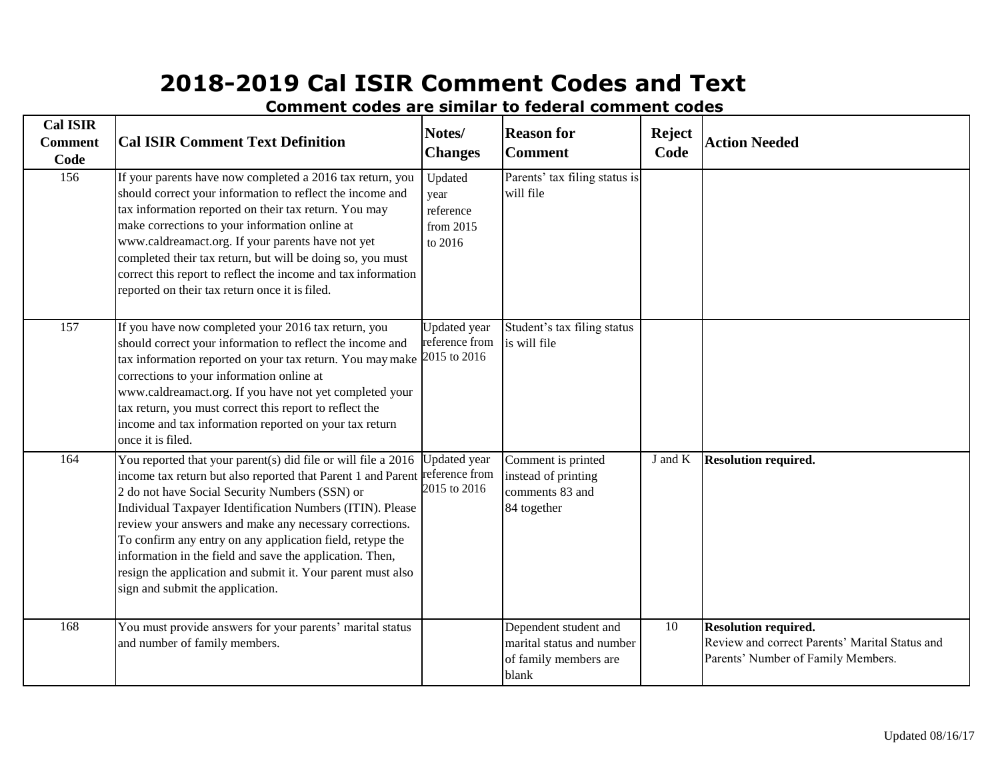**Cal ISIR Comment Code Cal ISIR Comment Text Definition Notes/ Changes Reason for Comment Reject Code Action Needed** 156 [If your](http://www.fafsa.gov/) parents have now completed a 2016 tax return, you [should](http://www.fafsa.gov/) correct your information to reflect the income and [tax](http://www.fafsa.gov/) information reported on their tax return. You may [make](http://www.fafsa.gov/) corrections to your information online at [www.caldreamact.org.](http://www.fafsa.gov/) If your parents have not yet [completed](http://www.fafsa.gov/) their tax return, but will be doing so, you must [correct](http://www.fafsa.gov/) this report to reflect the income and tax information [reported](http://www.fafsa.gov/) on their tax return once it isfiled. Updated year reference from 2015 to 2016 Parents' tax filing status is will file 157 [If you](http://www.fafsa.gov/) have now completed your 2016 tax return, you [should](http://www.fafsa.gov/) correct your information to reflect the income and [tax](http://www.fafsa.gov/) information reported on your tax return. You maymake [corrections](http://www.fafsa.gov/) to your information online at [www.caldreamact.org.](http://www.fafsa.gov/) If you have not yet completed your [tax return,](http://www.fafsa.gov/) you must correct this report to reflect the [income](http://www.fafsa.gov/) and tax information reported on your tax return [once](http://www.fafsa.gov/) it is filed. Updated year reference from 2015 to 2016 Student's tax filing status is will file 164 You reported that your parent(s) did file or will file a 2016 income tax return but also reported that Parent 1 and Parent reference from 2 do not have Social Security Numbers (SSN) or Individual Taxpayer Identification Numbers (ITIN). Please review your answers and make any necessary corrections. To confirm any entry on any application field, retype the information in the field and save the application. Then, resign the application and submit it. Your parent must also sign and submit the application. Updated year 2015 to 2016 Comment is printed instead of printing comments 83 and 84 together J and K **Resolution required.** 168 You must provide answers for your parents' marital status and number of family members. Dependent student and marital status and number of family members are blank 10 **Resolution required.** Review and correct Parents' Marital Status and Parents' Number of Family Members.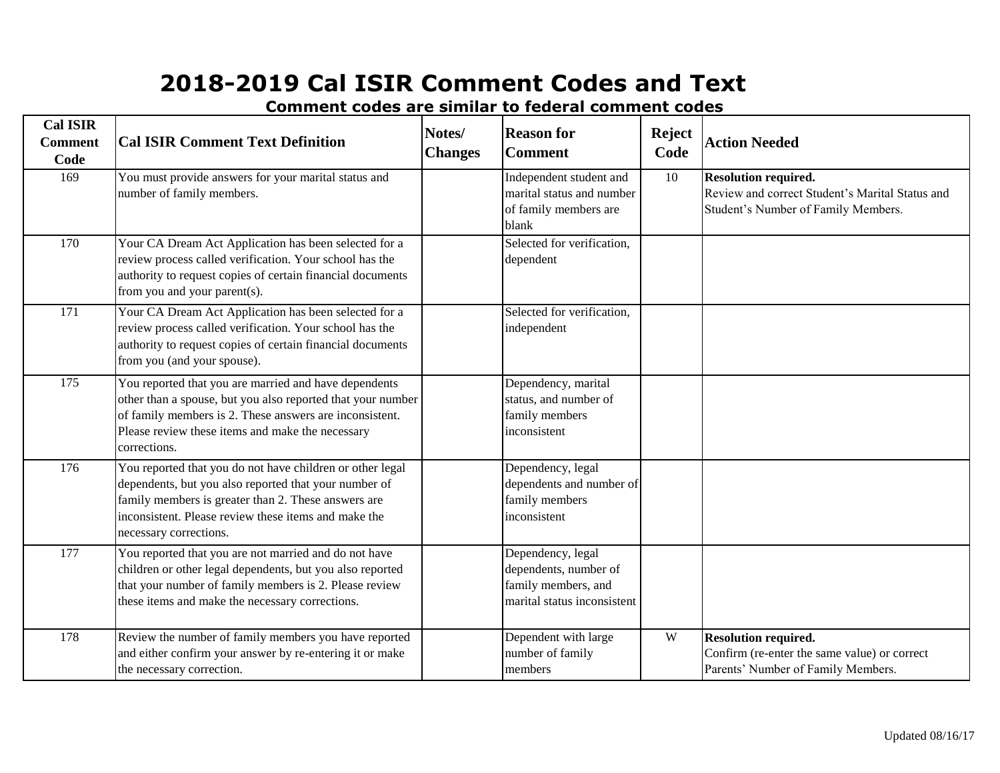| <b>Cal ISIR</b><br><b>Comment</b><br>Code | <b>Cal ISIR Comment Text Definition</b>                                                                                                                                                                                                                     | Notes/<br><b>Changes</b> | <b>Reason for</b><br><b>Comment</b>                                                              | <b>Reject</b><br>Code | <b>Action Needed</b>                                                                                                  |
|-------------------------------------------|-------------------------------------------------------------------------------------------------------------------------------------------------------------------------------------------------------------------------------------------------------------|--------------------------|--------------------------------------------------------------------------------------------------|-----------------------|-----------------------------------------------------------------------------------------------------------------------|
| 169                                       | You must provide answers for your marital status and<br>number of family members.                                                                                                                                                                           |                          | Independent student and<br>marital status and number<br>of family members are<br>blank           | 10                    | <b>Resolution required.</b><br>Review and correct Student's Marital Status and<br>Student's Number of Family Members. |
| 170                                       | Your CA Dream Act Application has been selected for a<br>review process called verification. Your school has the<br>authority to request copies of certain financial documents<br>from you and your parent(s).                                              |                          | Selected for verification,<br>dependent                                                          |                       |                                                                                                                       |
| $\overline{171}$                          | Your CA Dream Act Application has been selected for a<br>review process called verification. Your school has the<br>authority to request copies of certain financial documents<br>from you (and your spouse).                                               |                          | Selected for verification,<br>independent                                                        |                       |                                                                                                                       |
| 175                                       | You reported that you are married and have dependents<br>other than a spouse, but you also reported that your number<br>of family members is 2. These answers are inconsistent.<br>Please review these items and make the necessary<br>corrections.         |                          | Dependency, marital<br>status, and number of<br>family members<br>inconsistent                   |                       |                                                                                                                       |
| 176                                       | You reported that you do not have children or other legal<br>dependents, but you also reported that your number of<br>family members is greater than 2. These answers are<br>inconsistent. Please review these items and make the<br>necessary corrections. |                          | Dependency, legal<br>dependents and number of<br>family members<br>inconsistent                  |                       |                                                                                                                       |
| $\overline{177}$                          | You reported that you are not married and do not have<br>children or other legal dependents, but you also reported<br>that your number of family members is 2. Please review<br>these items and make the necessary corrections.                             |                          | Dependency, legal<br>dependents, number of<br>family members, and<br>marital status inconsistent |                       |                                                                                                                       |
| 178                                       | Review the number of family members you have reported<br>and either confirm your answer by re-entering it or make<br>the necessary correction.                                                                                                              |                          | Dependent with large<br>number of family<br>members                                              | W                     | <b>Resolution required.</b><br>Confirm (re-enter the same value) or correct<br>Parents' Number of Family Members.     |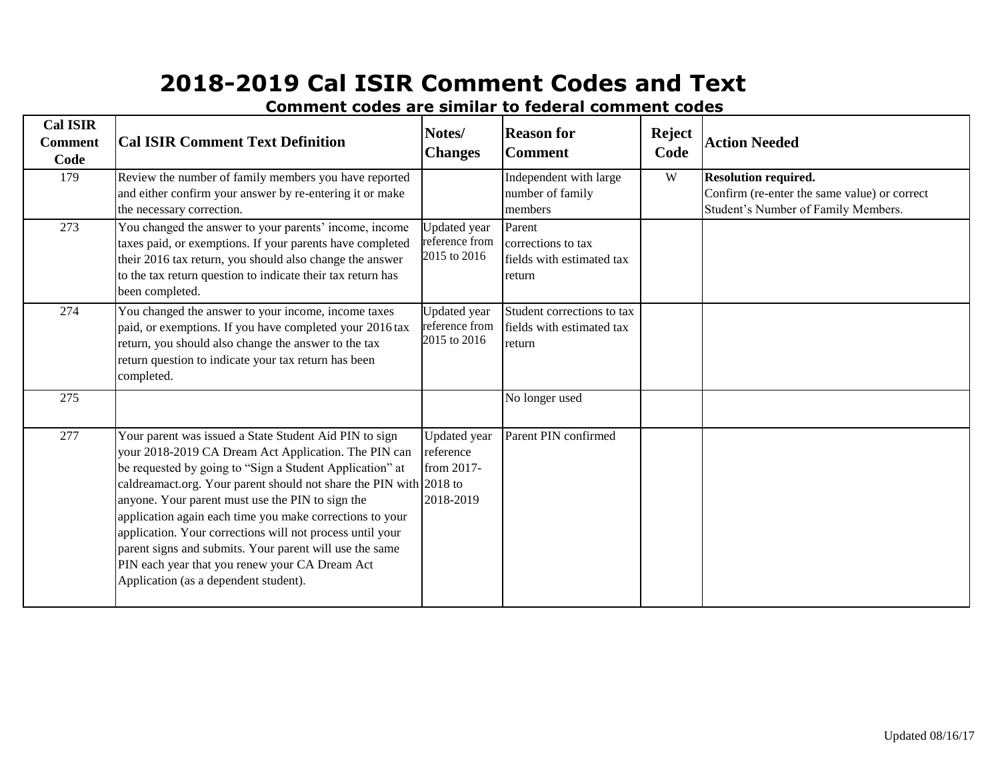| <b>Cal ISIR</b><br><b>Comment</b><br>Code | <b>Cal ISIR Comment Text Definition</b>                                                                                                                                                                                                                                                                                                                                                                                                                                                                                                                                             | Notes/<br><b>Changes</b>                                    | <b>Reason for</b><br><b>Comment</b>                                 | <b>Reject</b><br>Code | <b>Action Needed</b>                                                                                               |
|-------------------------------------------|-------------------------------------------------------------------------------------------------------------------------------------------------------------------------------------------------------------------------------------------------------------------------------------------------------------------------------------------------------------------------------------------------------------------------------------------------------------------------------------------------------------------------------------------------------------------------------------|-------------------------------------------------------------|---------------------------------------------------------------------|-----------------------|--------------------------------------------------------------------------------------------------------------------|
| 179                                       | Review the number of family members you have reported<br>and either confirm your answer by re-entering it or make<br>the necessary correction.                                                                                                                                                                                                                                                                                                                                                                                                                                      |                                                             | Independent with large<br>number of family<br>members               | W                     | <b>Resolution required.</b><br>Confirm (re-enter the same value) or correct<br>Student's Number of Family Members. |
| 273                                       | You changed the answer to your parents' income, income<br>taxes paid, or exemptions. If your parents have completed<br>their 2016 tax return, you should also change the answer<br>to the tax return question to indicate their tax return has<br>been completed.                                                                                                                                                                                                                                                                                                                   | <b>Updated</b> year<br>reference from<br>2015 to 2016       | Parent<br>corrections to tax<br>fields with estimated tax<br>return |                       |                                                                                                                    |
| 274                                       | You changed the answer to your income, income taxes<br>paid, or exemptions. If you have completed your 2016 tax<br>return, you should also change the answer to the tax<br>return question to indicate your tax return has been<br>completed.                                                                                                                                                                                                                                                                                                                                       | <b>Updated</b> year<br>reference from<br>2015 to 2016       | Student corrections to tax<br>fields with estimated tax<br>return   |                       |                                                                                                                    |
| 275                                       |                                                                                                                                                                                                                                                                                                                                                                                                                                                                                                                                                                                     |                                                             | No longer used                                                      |                       |                                                                                                                    |
| 277                                       | Your parent was issued a State Student Aid PIN to sign<br>your 2018-2019 CA Dream Act Application. The PIN can<br>be requested by going to "Sign a Student Application" at<br>caldreamact.org. Your parent should not share the PIN with 2018 to<br>anyone. Your parent must use the PIN to sign the<br>application again each time you make corrections to your<br>application. Your corrections will not process until your<br>parent signs and submits. Your parent will use the same<br>PIN each year that you renew your CA Dream Act<br>Application (as a dependent student). | <b>Updated</b> year<br>reference<br>from 2017-<br>2018-2019 | Parent PIN confirmed                                                |                       |                                                                                                                    |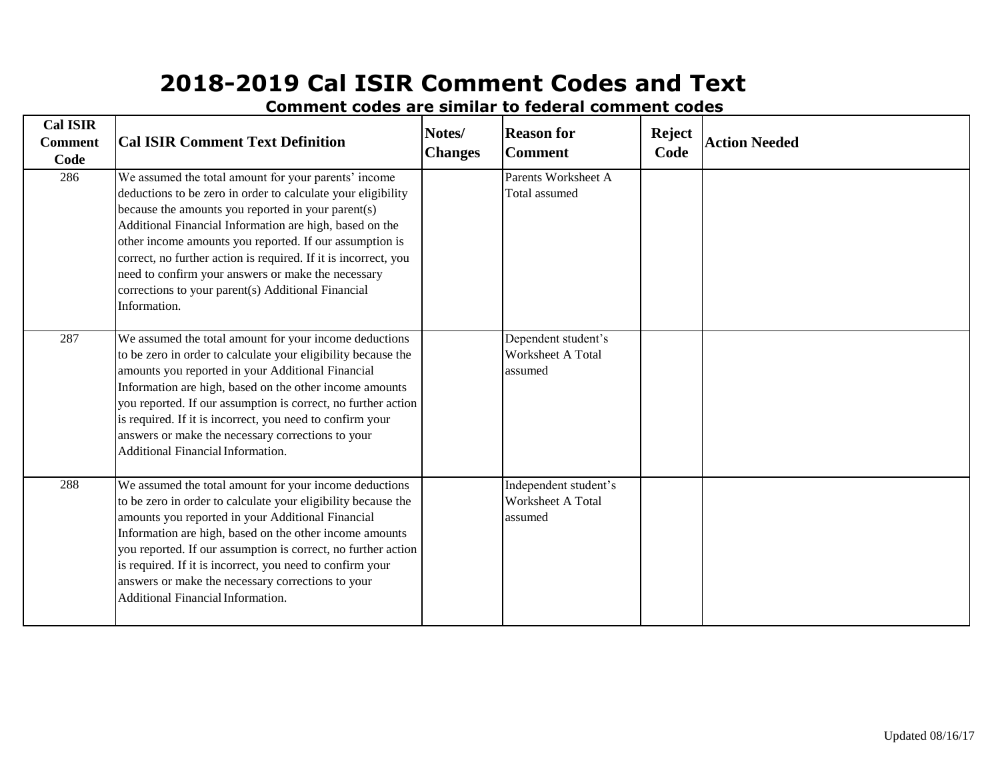| <b>Cal ISIR</b><br><b>Comment</b><br>Code | <b>Cal ISIR Comment Text Definition</b>                                                                                                                                                                                                                                                                                                                                                                                                                                                         | Notes/<br><b>Changes</b> | <b>Reason for</b><br><b>Comment</b>                   | <b>Reject</b><br>Code | <b>Action Needed</b> |
|-------------------------------------------|-------------------------------------------------------------------------------------------------------------------------------------------------------------------------------------------------------------------------------------------------------------------------------------------------------------------------------------------------------------------------------------------------------------------------------------------------------------------------------------------------|--------------------------|-------------------------------------------------------|-----------------------|----------------------|
| 286                                       | We assumed the total amount for your parents' income<br>deductions to be zero in order to calculate your eligibility<br>because the amounts you reported in your parent(s)<br>Additional Financial Information are high, based on the<br>other income amounts you reported. If our assumption is<br>correct, no further action is required. If it is incorrect, you<br>need to confirm your answers or make the necessary<br>corrections to your parent(s) Additional Financial<br>Information. |                          | Parents Worksheet A<br>Total assumed                  |                       |                      |
| 287                                       | We assumed the total amount for your income deductions<br>to be zero in order to calculate your eligibility because the<br>amounts you reported in your Additional Financial<br>Information are high, based on the other income amounts<br>you reported. If our assumption is correct, no further action<br>is required. If it is incorrect, you need to confirm your<br>answers or make the necessary corrections to your<br>Additional Financial Information.                                 |                          | Dependent student's<br>Worksheet A Total<br>assumed   |                       |                      |
| 288                                       | We assumed the total amount for your income deductions<br>to be zero in order to calculate your eligibility because the<br>amounts you reported in your Additional Financial<br>Information are high, based on the other income amounts<br>you reported. If our assumption is correct, no further action<br>is required. If it is incorrect, you need to confirm your<br>answers or make the necessary corrections to your<br>Additional Financial Information.                                 |                          | Independent student's<br>Worksheet A Total<br>assumed |                       |                      |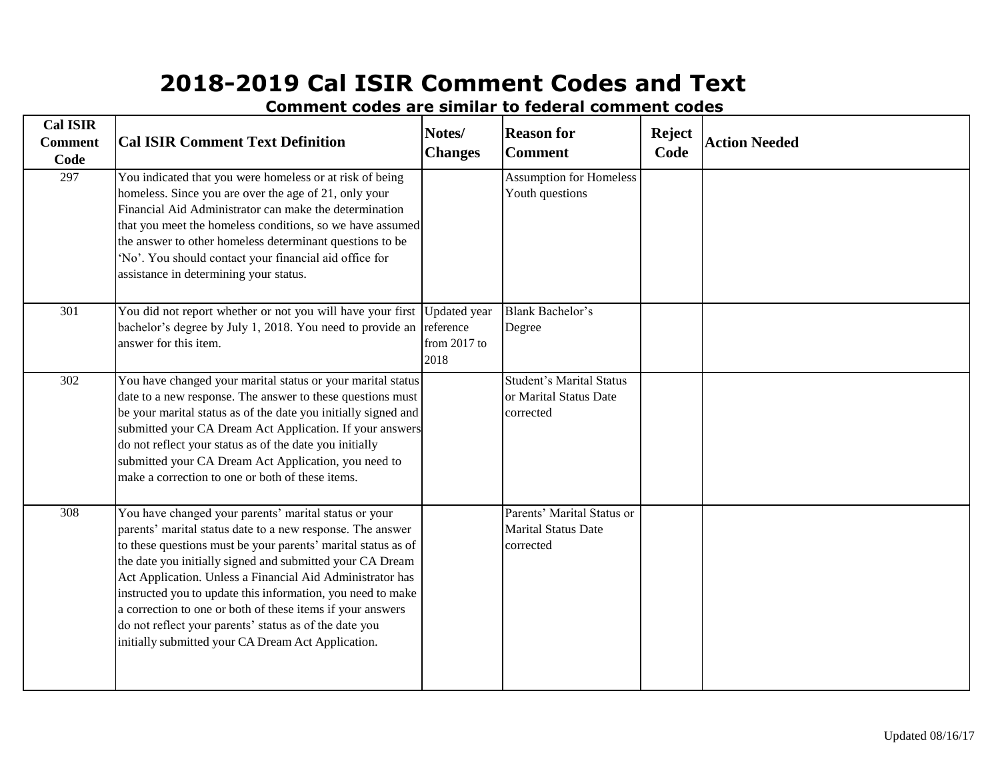| <b>Cal ISIR</b><br><b>Comment</b><br>Code | <b>Cal ISIR Comment Text Definition</b>                                                                                                                                                                                                                                                                                                                                                                                                                                                                                                                     | Notes/<br><b>Changes</b>                                   | <b>Reason for</b><br><b>Comment</b>                                    | <b>Reject</b><br>Code | <b>Action Needed</b> |
|-------------------------------------------|-------------------------------------------------------------------------------------------------------------------------------------------------------------------------------------------------------------------------------------------------------------------------------------------------------------------------------------------------------------------------------------------------------------------------------------------------------------------------------------------------------------------------------------------------------------|------------------------------------------------------------|------------------------------------------------------------------------|-----------------------|----------------------|
| 297                                       | You indicated that you were homeless or at risk of being<br>homeless. Since you are over the age of 21, only your<br>Financial Aid Administrator can make the determination<br>that you meet the homeless conditions, so we have assumed<br>the answer to other homeless determinant questions to be<br>'No'. You should contact your financial aid office for<br>assistance in determining your status.                                                                                                                                                    |                                                            | <b>Assumption for Homeless</b><br>Youth questions                      |                       |                      |
| $\overline{301}$                          | You did not report whether or not you will have your first<br>bachelor's degree by July 1, 2018. You need to provide an<br>answer for this item.                                                                                                                                                                                                                                                                                                                                                                                                            | <b>Updated</b> year<br>reference<br>from $2017$ to<br>2018 | <b>Blank Bachelor's</b><br>Degree                                      |                       |                      |
| 302                                       | You have changed your marital status or your marital status<br>date to a new response. The answer to these questions must<br>be your marital status as of the date you initially signed and<br>submitted your CA Dream Act Application. If your answers<br>do not reflect your status as of the date you initially<br>submitted your CA Dream Act Application, you need to<br>make a correction to one or both of these items.                                                                                                                              |                                                            | <b>Student's Marital Status</b><br>or Marital Status Date<br>corrected |                       |                      |
| 308                                       | You have changed your parents' marital status or your<br>parents' marital status date to a new response. The answer<br>to these questions must be your parents' marital status as of<br>the date you initially signed and submitted your CA Dream<br>Act Application. Unless a Financial Aid Administrator has<br>instructed you to update this information, you need to make<br>a correction to one or both of these items if your answers<br>do not reflect your parents' status as of the date you<br>initially submitted your CA Dream Act Application. |                                                            | Parents' Marital Status or<br><b>Marital Status Date</b><br>corrected  |                       |                      |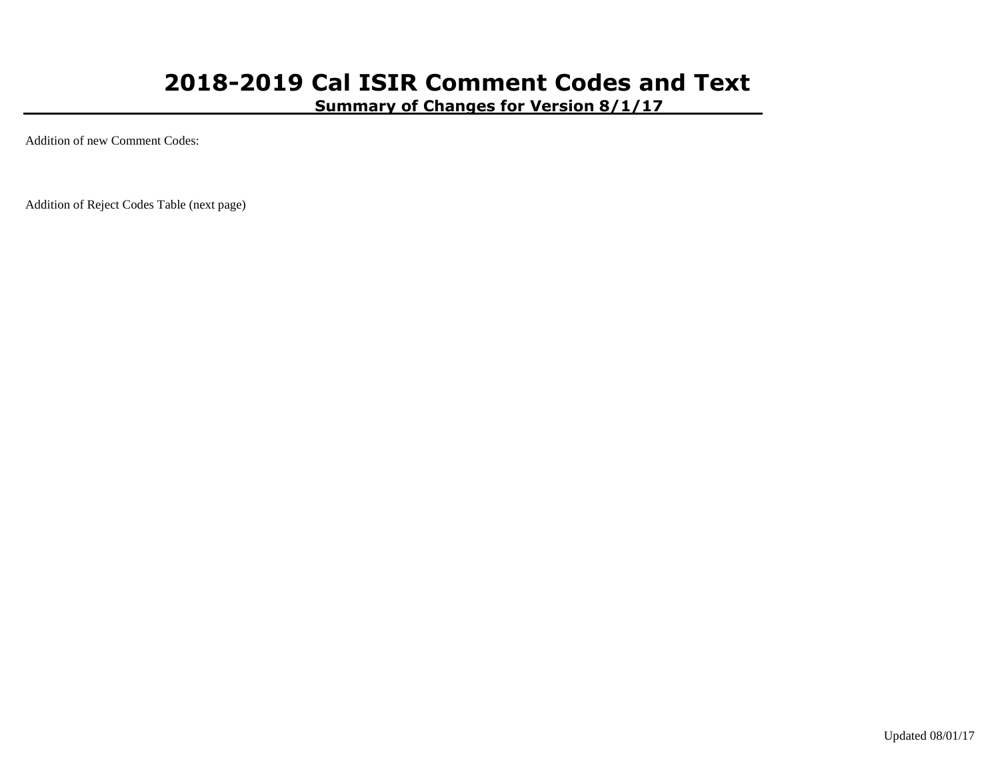**Summary of Changes for Version 8/1/17**

Addition of new Comment Codes:

Addition of Reject Codes Table (next page)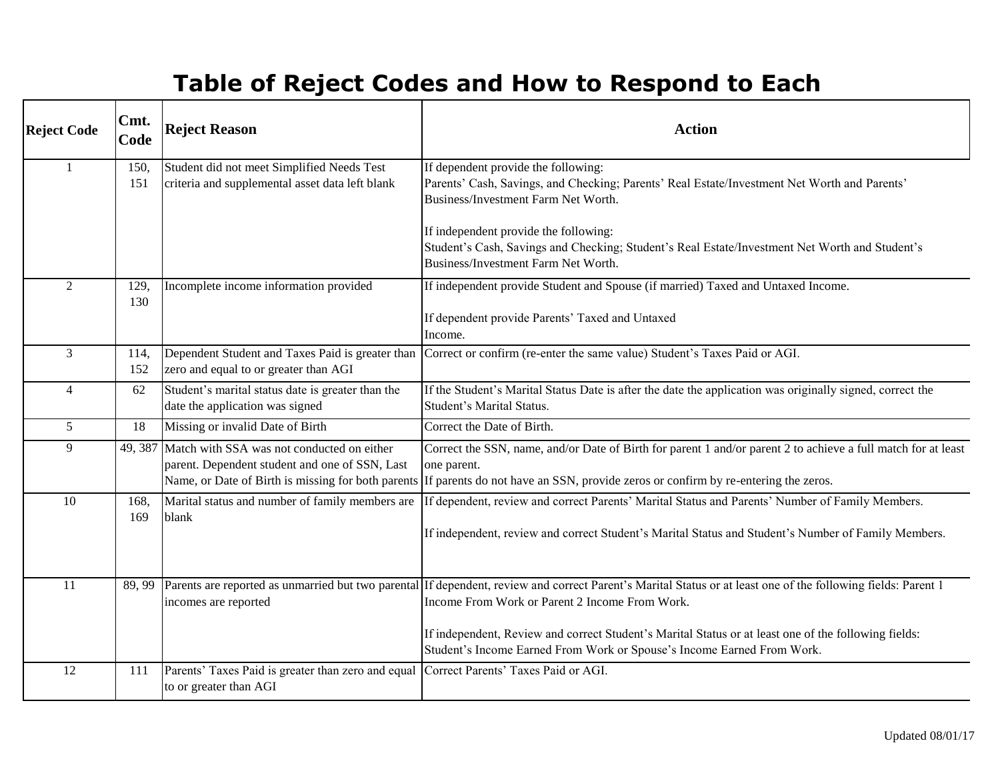# **Table of Reject Codes and How to Respond to Each**

| <b>Reject Code</b> | Cmt.<br>Code | <b>Reject Reason</b>                                                                                                                                       | <b>Action</b>                                                                                                                                                                                                                                                                                                                                                                                     |
|--------------------|--------------|------------------------------------------------------------------------------------------------------------------------------------------------------------|---------------------------------------------------------------------------------------------------------------------------------------------------------------------------------------------------------------------------------------------------------------------------------------------------------------------------------------------------------------------------------------------------|
|                    | 150,<br>151  | Student did not meet Simplified Needs Test<br>criteria and supplemental asset data left blank                                                              | If dependent provide the following:<br>Parents' Cash, Savings, and Checking; Parents' Real Estate/Investment Net Worth and Parents'<br>Business/Investment Farm Net Worth.                                                                                                                                                                                                                        |
|                    |              |                                                                                                                                                            | If independent provide the following:<br>Student's Cash, Savings and Checking; Student's Real Estate/Investment Net Worth and Student's<br>Business/Investment Farm Net Worth.                                                                                                                                                                                                                    |
| $\overline{2}$     | 129.<br>130  | Incomplete income information provided                                                                                                                     | If independent provide Student and Spouse (if married) Taxed and Untaxed Income.<br>If dependent provide Parents' Taxed and Untaxed<br>Income.                                                                                                                                                                                                                                                    |
| $\overline{3}$     | 114,<br>152  | Dependent Student and Taxes Paid is greater than<br>zero and equal to or greater than AGI                                                                  | Correct or confirm (re-enter the same value) Student's Taxes Paid or AGI.                                                                                                                                                                                                                                                                                                                         |
| $\overline{4}$     | 62           | Student's marital status date is greater than the<br>date the application was signed                                                                       | If the Student's Marital Status Date is after the date the application was originally signed, correct the<br><b>Student's Marital Status.</b>                                                                                                                                                                                                                                                     |
| $5\overline{)}$    | 18           | Missing or invalid Date of Birth                                                                                                                           | Correct the Date of Birth.                                                                                                                                                                                                                                                                                                                                                                        |
| 9                  |              | 49, 387 Match with SSA was not conducted on either<br>parent. Dependent student and one of SSN, Last<br>Name, or Date of Birth is missing for both parents | Correct the SSN, name, and/or Date of Birth for parent 1 and/or parent 2 to achieve a full match for at least<br>one parent.<br>If parents do not have an SSN, provide zeros or confirm by re-entering the zeros.                                                                                                                                                                                 |
| 10                 | 168.         | Marital status and number of family members are                                                                                                            | If dependent, review and correct Parents' Marital Status and Parents' Number of Family Members.                                                                                                                                                                                                                                                                                                   |
|                    | 169          | blank                                                                                                                                                      | If independent, review and correct Student's Marital Status and Student's Number of Family Members.                                                                                                                                                                                                                                                                                               |
| 11                 | 89, 99       | incomes are reported                                                                                                                                       | Parents are reported as unmarried but two parental If dependent, review and correct Parent's Marital Status or at least one of the following fields: Parent 1<br>Income From Work or Parent 2 Income From Work.<br>If independent, Review and correct Student's Marital Status or at least one of the following fields:<br>Student's Income Earned From Work or Spouse's Income Earned From Work. |
| 12                 | 111          | Parents' Taxes Paid is greater than zero and equal<br>to or greater than AGI                                                                               | Correct Parents' Taxes Paid or AGI.                                                                                                                                                                                                                                                                                                                                                               |